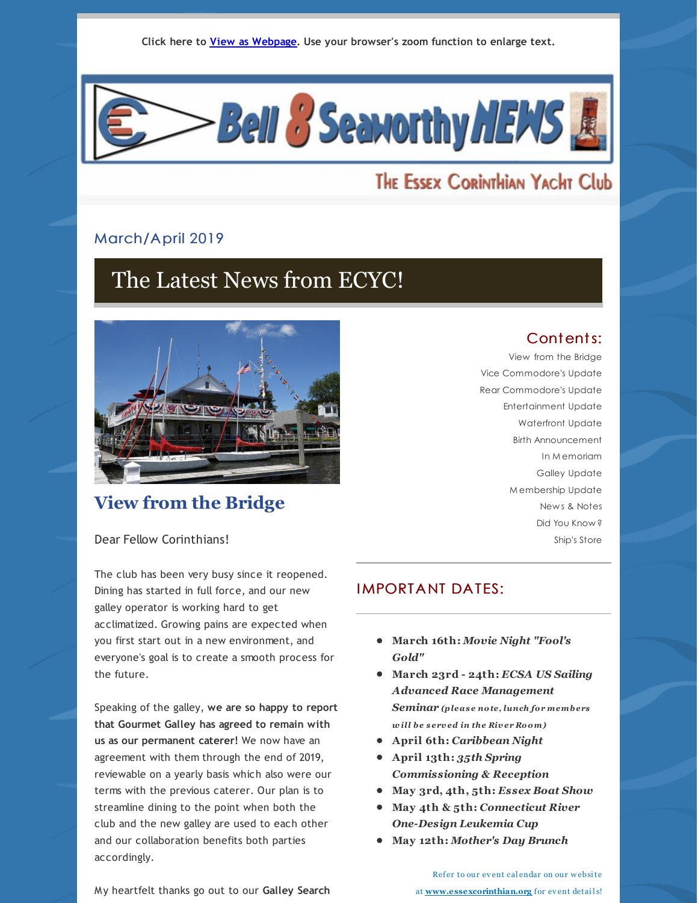**Click here to View as [Webpage](http://campaign.r20.constantcontact.com/render?ca=9a3f4cf4-d183-4c27-952b-b5a273f0d389&preview=true&m=1102968081138&id=preview). Use your browser's zoom function to enlarge text.**



# The Essex Corinthian Yacht Club

#### March/April 2019

# The Latest News from ECYC!



# **View from the Bridge**

# Contents:

View from the Bridge Vice Commodore's Update Rear Commodore's Update Entertainment Update Waterfront Update Birth Announcement In M emoriam Galley Update M embership Update New s & Notes Did You Know ? Ship's Store

Dear Fellow Corinthians!

The club has been very busy since it reopened. Dining has started in full force, and our new galley operator is working hard to get acclimatized. Growing pains are expected when you first start out in a new environment, and everyone's goal is to create a smooth process for the future.

Speaking of the galley, **we are so happy to report that Gourmet Galley has agreed to remain with us as our permanent caterer!** We now have an agreement with them through the end of 2019, reviewable on a yearly basis which also were our terms with the previous caterer. Our plan is to streamline dining to the point when both the club and the new galley are used to each other and our collaboration benefits both parties accordingly.

My heartfelt thanks go out to our **Galley Search**

# **IMPORTANT DATES:**

- **March 16th:** *Movie Night "Fool's Gold"*
- **March 23rd - 24th:** *ECSA US Sailing Advanced Race Management Seminar (pleas e note, lunch for members w ill be s erv ed in the Riv er Room)*
- **April 6th:** *Caribbean Night*
- **April 13th:** *35th Spring Commissioning & Reception*
- **May 3rd, 4th, 5th:** *Essex Boat Show*
- **May 4th & 5th:** *Connecticut River One-Design Leukemia Cup*
- **May 12th:** *Mother's Day Brunch*

Ref er to our ev ent cal endar on our w ebsite at **[www.essexcorinthian.org](http://www.essexcorinthian.org/)** for event details!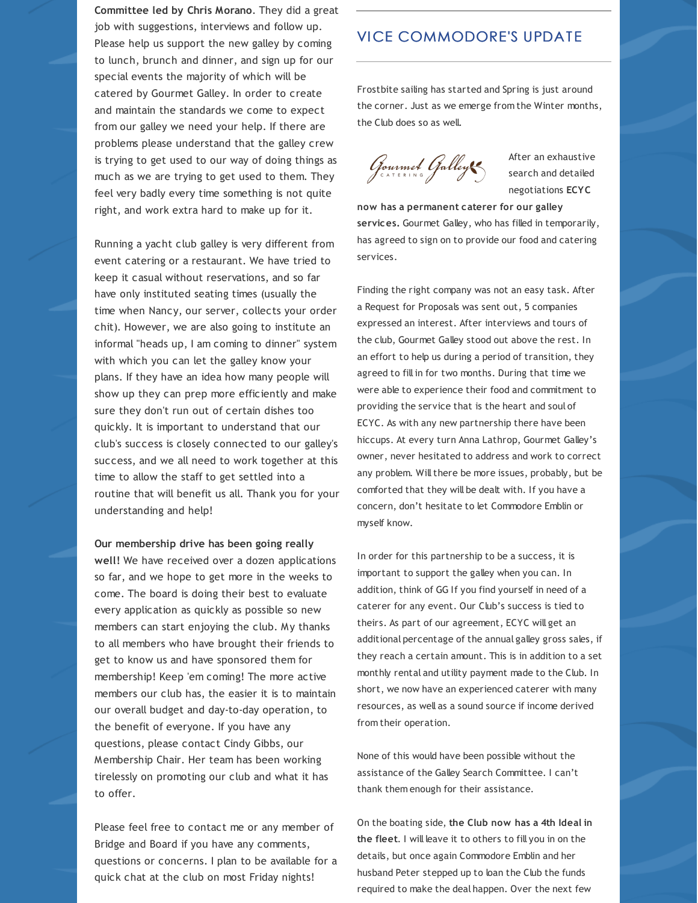**Committee led by Chris Morano**. They did a great job with suggestions, interviews and follow up. Please help us support the new galley by coming to lunch, brunch and dinner, and sign up for our special events the majority of which will be catered by Gourmet Galley. In order to create and maintain the standards we come to expect from our galley we need your help. If there are problems please understand that the galley crew is trying to get used to our way of doing things as much as we are trying to get used to them. They feel very badly every time something is not quite right, and work extra hard to make up for it.

Running a yacht club galley is very different from event catering or a restaurant. We have tried to keep it casual without reservations, and so far have only instituted seating times (usually the time when Nancy, our server, collects your order chit). However, we are also going to institute an informal "heads up, I am coming to dinner" system with which you can let the galley know your plans. If they have an idea how many people will show up they can prep more efficiently and make sure they don't run out of certain dishes too quickly. It is important to understand that our club's success is closely connected to our galley's success, and we all need to work together at this time to allow the staff to get settled into a routine that will benefit us all. Thank you for your understanding and help!

**Our membership drive has been going really well!** We have received over a dozen applications so far, and we hope to get more in the weeks to come. The board is doing their best to evaluate every application as quickly as possible so new members can start enjoying the club. My thanks to all members who have brought their friends to get to know us and have sponsored them for membership! Keep 'em coming! The more active members our club has, the easier it is to maintain our overall budget and day-to-day operation, to the benefit of everyone. If you have any questions, please contact Cindy Gibbs, our Membership Chair. Her team has been working tirelessly on promoting our club and what it has to offer.

Please feel free to contact me or any member of Bridge and Board if you have any comments, questions or concerns. I plan to be available for a quick chat at the club on most Friday nights!

# **VICE COMMODORE'S UPDATE**

Frostbite sailing has started and Spring is just around the corner. Just as we emerge from the Winter months, the Club does so as well.

Gourmet Galleys

After an exhaustive search and detailed negotiations **ECYC**

**now has a permanent caterer for our galley services.** Gourmet Galley, who has filled in temporarily, has agreed to sign on to provide our food and catering services.

Finding the right company was not an easy task. After a Request for Proposals was sent out, 5 companies expressed an interest. After interviews and tours of the club, Gourmet Galley stood out above the rest. In an effort to help us during a period of transition, they agreed to fill in for two months. During that time we were able to experience their food and commitment to providing the service that is the heart and soul of ECYC. As with any new partnership there have been hiccups. At every turn Anna Lathrop, Gourmet Galley's owner, never hesitated to address and work to correct any problem. Will there be more issues, probably, but be comforted that they will be dealt with. If you have a concern, don't hesitate to let Commodore Emblin or myself know.

In order for this partnership to be a success, it is important to support the galley when you can. In addition, think of GG If you find yourself in need of a caterer for any event. Our Club's success is tied to theirs. As part of our agreement, ECYC will get an additional percentage of the annual galley gross sales, if they reach a certain amount. This is in addition to a set monthly rental and utility payment made to the Club. In short, we now have an experienced caterer with many resources, as well as a sound source if income derived from their operation.

None of this would have been possible without the assistance of the Galley Search Committee. I can't thank them enough for their assistance.

On the boating side, **the Club now has a 4th Ideal in the fleet**. I will leave it to others to fill you in on the details, but once again Commodore Emblin and her husband Peter stepped up to loan the Club the funds required to make the deal happen. Over the next few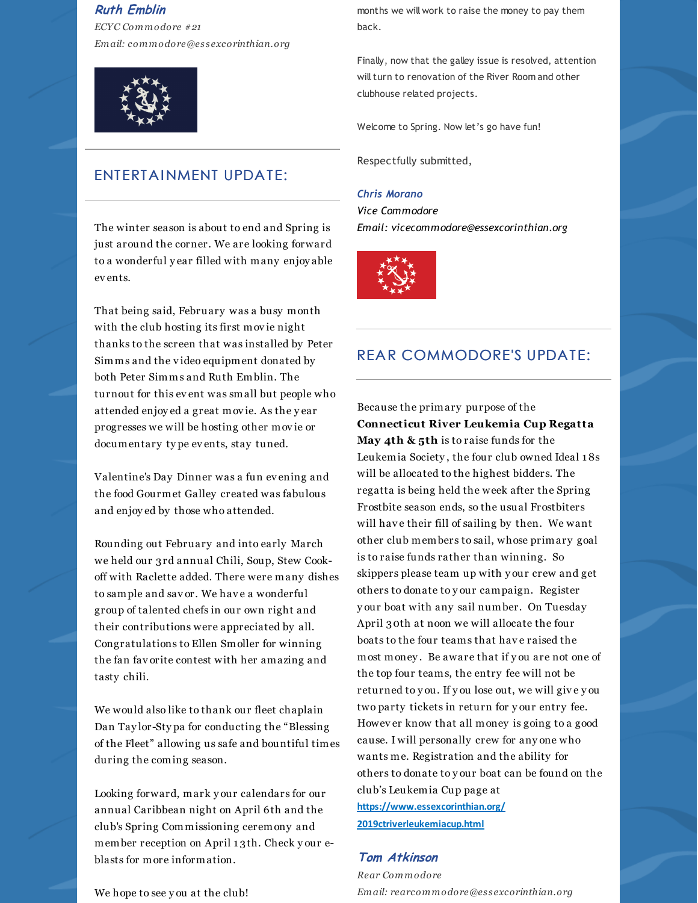#### **Ruth Emblin**

*ECYC Commodore #21 Email: commodore@es s excorinthian.org*



## ENTERTAINMENT UPDATE:

The winter season is about to end and Spring is just around the corner. We are looking forward to a wonderful y ear filled with many enjoy able ev ents.

That being said, February was a busy month with the club hosting its first movie night thanks to the screen that was installed by Peter Simms and the v ideo equipment donated by both Peter Simms and Ruth Emblin. The turnout for this ev ent was small but people who attended enjoy ed a great mov ie. As the y ear progresses we will be hosting other mov ie or documentary ty pe ev ents, stay tuned.

Valentine's Day Dinner was a fun ev ening and the food Gourmet Galley created was fabulous and enjoy ed by those who attended.

Rounding out February and into early March we held our 3rd annual Chili, Soup, Stew Cookoff with Raclette added. There were many dishes to sample and sav or. We hav e a wonderful group of talented chefs in our own right and their contributions were appreciated by all. Congratulations to Ellen Smoller for winning the fan fav orite contest with her amazing and tasty chili.

We would also like to thank our fleet chaplain Dan Tay lor-Sty pa for conducting the "Blessing of the Fleet" allowing us safe and bountiful times during the coming season.

Looking forward, mark y our calendars for our annual Caribbean night on April 6th and the club's Spring Commissioning ceremony and member reception on April 1 3th. Check y our eblasts for more information.

We hope to see y ou at the club!

months we will work to raise the money to pay them back.

Finally, now that the galley issue is resolved, attention will turn to renovation of the River Room and other clubhouse related projects.

Welcome to Spring. Now let's go have fun!

Respectfully submitted,

#### *Chris Morano*

*Vice Commodore Email: vicecommodore@essexcorinthian.org*



### **REAR COMMODORE'S UPDATE:**

Because the primary purpose of the **Connecticut River Leukemia Cup Regatta May 4th & 5th** is to raise funds for the Leukemia Society , the four club owned Ideal 1 8s will be allocated to the highest bidders. The regatta is being held the week after the Spring Frostbite season ends, so the usual Frostbiters will have their fill of sailing by then. We want other club members to sail, whose primary goal is to raise funds rather than winning. So skippers please team up with y our crew and get others to donate to y our campaign. Register y our boat with any sail number. On Tuesday April 30th at noon we will allocate the four boats to the four teams that have raised the most money . Be aware that if y ou are not one of the top four teams, the entry fee will not be returned to y ou. If y ou lose out, we will giv e y ou two party tickets in return for y our entry fee. Howev er know that all money is going to a good cause. I will personally crew for any one who wants me. Registration and the ability for others to donate to y our boat can be found on the club's Leukemia Cup page at **[https://www.essexcorinthian.org/](https://www.essexcorinthian.org/2019ctriverleukemiacup.html) [2019ctriverleukemiacup.html](https://www.essexcorinthian.org/2019ctriverleukemiacup.html)**

#### **Tom Atkinson**

*Rear Commodore Email: rearcommodore@es s excorinthian.org*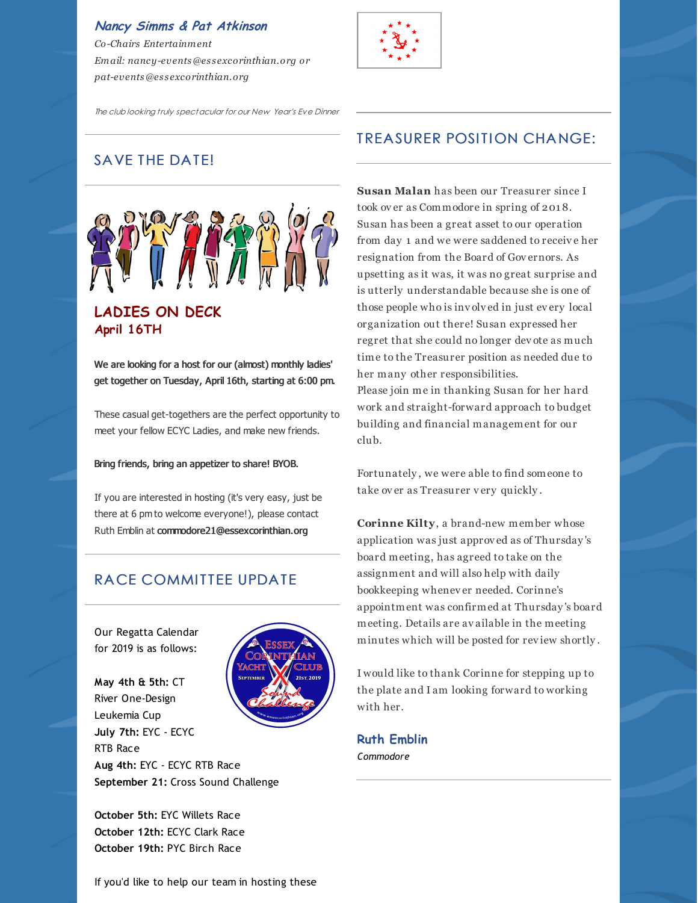**Nancy Simms & Pat Atkinson** *Co-Chairs Entertainment Email: nancy-events@es s excorinthian.org or pat-events@es s excorinthian.org*



The club looking truly spectacular for our New Year's Eve Dinner

# SAVE THE DATE!



We are looking for a host for our (almost) monthly ladies'

get together on Tuesday, April 16th, starting at 6:00 pm.

These casual get-togethers are the perfect opportunity to meet your fellow ECYC Ladies, and make new friends.

Bring friends, bring an appetizer to share! BYOB.

If you are interested in hosting (it's very easy, just be there at 6 pm to welcome everyone!), please contact Ruth Emblin at [commodore21@essexcorinthian.org](mailto:commodore21@essexcorinthian.org)

# RACE COMMITTEE UPDATE

Our Regatta Calendar for 2019 is as follows:

**May 4th & 5th:** CT River One-Design Leukemia Cup



**July 7th:** EYC - ECYC RTB Race **Aug 4th:** EYC - ECYC RTB Race **September 21:** Cross Sound Challenge

**October 5th:** EYC Willets Race **October 12th:** ECYC Clark Race **October 19th:** PYC Birch Race

# **TREASURER POSITION CHANGE:**

**Susan Malan** has been our Treasurer since I took over as Commodore in spring of 2018. Susan has been a great asset to our operation from day 1 and we were saddened to receiv e her resignation from the Board of Gov ernors. As upsetting as it was, it was no great surprise and is utterly understandable because she is one of those people who is inv olv ed in just ev ery local organization out there! Susan expressed her regret that she could no longer dev ote as much time to the Treasurer position as needed due to her many other responsibilities. Please join me in thanking Susan for her hard work and straight-forward approach to budget building and financial management for our club.

Fortunately , we were able to find someone to take ov er as Treasurer v ery quickly .

**Corinne Kilty**, a brand-new member whose application was just approv ed as of Thursday 's board meeting, has agreed to take on the assignment and will also help with daily bookkeeping whenev er needed. Corinne's appointment was confirmed at Thursday 's board meeting. Details are av ailable in the meeting minutes which will be posted for rev iew shortly .

I would like to thank Corinne for stepping up to the plate and I am looking forward to working with her.

**Ruth Emblin** *Commodore*

If you'd like to help our team in hosting these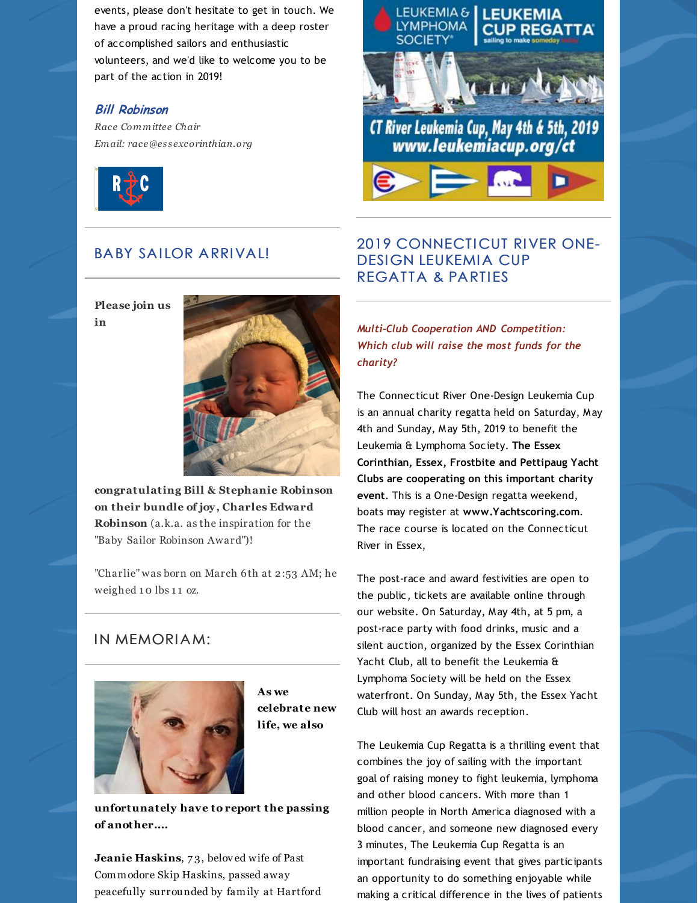events, please don't hesitate to get in touch. We have a proud racing heritage with a deep roster of accomplished sailors and enthusiastic volunteers, and we'd like to welcome you to be part of the action in 2019!

#### **Bill Robinson**

*Race Committee Chair Email: race@es s [excorinthian.org](mailto:race@essexcorinthian.org)*



# **BABY SAILOR ARRIVAL!**

**Please join us in**



**congratulating Bill & Stephanie Robinson on their bundle of joy, Charles Edward Robinson** (a.k.a. as the inspiration for the "Baby Sailor Robinson Award")!

"Charlie" was born on March 6th at 2:53 AM; he weighed 10 lbs 11 oz.

#### IN MEMORIAM:



**As we celebrate new life, we also**

**unfortunately have to report the passing of another....**

**Jeanie Haskins**, 7 3, belov ed wife of Past Commodore Skip Haskins, passed away peacefully surrounded by family at Hartford



# 2019 CONNECTICUT RIVER ONE-DESIGN LEUKEMIA CUP REGATTA & PARTIES

*Multi-Club Cooperation AND Competition: Which club will raise the most funds for the charity?*

The Connecticut River One-Design Leukemia Cup is an annual charity regatta held on Saturday, May 4th and Sunday, May 5th, 2019 to benefit the Leukemia & Lymphoma Society. **The Essex Corinthian, Essex, Frostbite and Pettipaug Yacht Clubs are cooperating on this important charity event**. This is a One-Design regatta weekend, boats may register at **[www.Yachtscoring.com](http://www.yachtscoring.com)**. The race course is located on the Connecticut River in Essex,

The post-race and award festivities are open to the public, tickets are available online through our website. On Saturday, May 4th, at 5 pm, a post-race party with food drinks, music and a silent auction, organized by the Essex Corinthian Yacht Club, all to benefit the Leukemia & Lymphoma Society will be held on the Essex waterfront. On Sunday, May 5th, the Essex Yacht Club will host an awards reception.

The Leukemia Cup Regatta is a thrilling event that combines the joy of sailing with the important goal of raising money to fight leukemia, lymphoma and other blood cancers. With more than 1 million people in North America diagnosed with a blood cancer, and someone new diagnosed every 3 minutes, The Leukemia Cup Regatta is an important fundraising event that gives participants an opportunity to do something enjoyable while making a critical difference in the lives of patients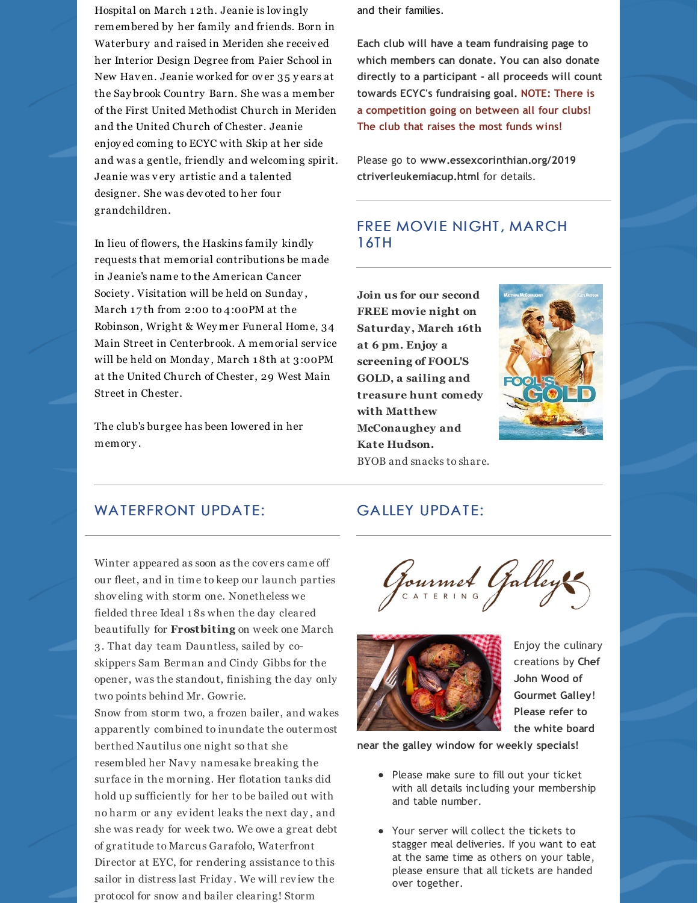Hospital on March 1 2th. Jeanie is lov ingly remembered by her family and friends. Born in Waterbury and raised in Meriden she receiv ed her Interior Design Degree from Paier School in New Hav en. Jeanie worked for ov er 35 y ears at the Say brook Country Barn. She was a member of the First United Methodist Church in Meriden and the United Church of Chester. Jeanie enjoy ed coming to ECYC with Skip at her side and was a gentle, friendly and welcoming spirit. Jeanie was v ery artistic and a talented designer. She was dev oted to her four grandchildren.

In lieu of flowers, the Haskins family kindly requests that memorial contributions be made in Jeanie's name to the American Cancer Society . Visitation will be held on Sunday , March 17th from 2:00 to 4:00PM at the Robinson, Wright & Wey mer Funeral Home, 34 Main Street in Centerbrook. A memorial serv ice will be held on Monday , March 1 8th at 3:00PM at the United Church of Chester, 29 West Main Street in Chester.

The club's burgee has been lowered in her memory .

Winter appeared as soon as the cov ers came off our fleet, and in time to keep our launch parties

shov eling with storm one. Nonetheless we fielded three Ideal 1 8s when the day cleared beautifully for **Frostbiting** on week one March

3. That day team Dauntless, sailed by coskippers Sam Berman and Cindy Gibbs for the opener, was the standout, finishing the day only

berthed Nautilus one night so that she resembled her Navy namesake breaking the surface in the morning. Her flotation tanks did hold up sufficiently for her to be bailed out with no harm or any ev ident leaks the next day , and she was ready for week two. We owe a great debt of gratitude to Marcus Garafolo, Waterfront Director at EYC, for rendering assistance to this sailor in distress last Friday . We will rev iew the protocol for snow and bailer clearing! Storm

Snow from storm two, a frozen bailer, and wakes apparently combined to inundate the outermost

two points behind Mr. Gowrie.

and their families.

**Each club will have a team fundraising page to which members can donate. You can also donate directly to a participant - all proceeds will count towards ECYC's fundraising goal. NOTE: There is a competition going on between all four clubs! The club that raises the most funds wins!**

Please go to **[www.essexcorinthian.org/2019](https://www.essexcorinthian.org/2019ctriverleukemiacup.html) [ctriverleukemiacup.html](https://www.essexcorinthian.org/2019ctriverleukemiacup.html)** for details.

## FREE MOVIE NIGHT, MARCH 16TH

**Join us for our second FREE movie night on Saturday, March 16th at 6 pm. Enjoy a screening of FOOL'S GOLD, a sailing and treasure hunt comedy with Matthew McConaughey and Kate Hudson.** BYOB and snacks to share.

**GALLEY UPDATE:** 



#### WATERFRONT UPDATE:





Enjoy the culinary creations by **Chef John Wood of Gourmet Galley**! **Please refer to the white board**

**near the galley window for weekly specials!**

- Please make sure to fill out your ticket with all details including your membership and table number.
- Your server will collect the tickets to stagger meal deliveries. If you want to eat at the same time as others on your table, please ensure that all tickets are handed over together.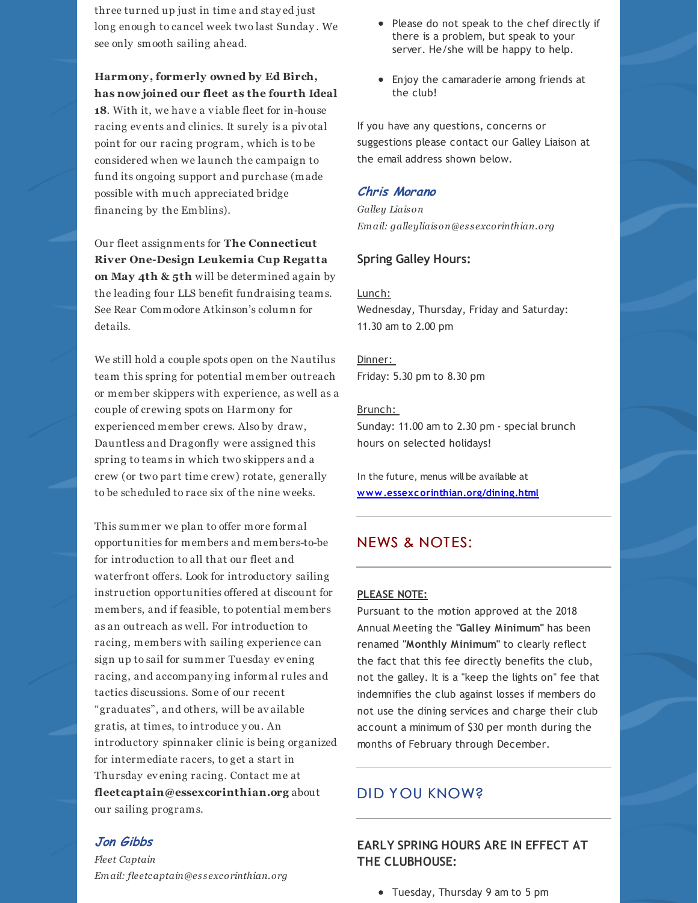three turned up just in time and stay ed just long enough to cancel week two last Sunday . We see only smooth sailing ahead.

**Harmony, formerly owned by Ed Birch, has now joined our fleet as the fourth Ideal** 18. With it, we have a viable fleet for in-house racing ev ents and clinics. It surely is a piv otal point for our racing program, which is to be considered when we launch the campaign to fund its ongoing support and purchase (made possible with much appreciated bridge financing by the Emblins).

Our fleet assignments for **The Connecticut River One-Design Leukemia Cup Regatta on May 4th & 5th** will be determined again by the leading four LLS benefit fundraising teams. See Rear Commodore Atkinson's column for details.

We still hold a couple spots open on the Nautilus team this spring for potential member outreach or member skippers with experience, as well as a couple of crewing spots on Harmony for experienced member crews. Also by draw, Dauntless and Dragonfly were assigned this spring to teams in which two skippers and a crew (or two part time crew) rotate, generally to be scheduled to race six of the nine weeks.

This summer we plan to offer more formal opportunities for members and members-to-be for introduction to all that our fleet and waterfront offers. Look for introductory sailing instruction opportunities offered at discount for members, and if feasible, to potential members as an outreach as well. For introduction to racing, members with sailing experience can sign up to sail for summer Tuesday ev ening racing, and accompany ing informal rules and tactics discussions. Some of our recent "graduates", and others, will be av ailable gratis, at times, to introduce y ou. An introductory spinnaker clinic is being organized for intermediate racers, to get a start in Thursday ev ening racing. Contact me at **[fleetcaptain@essexcorinthian.org](mailto:fleetcaptain@essexcorinthian.org)** about our sailing programs.

#### **Jon Gibbs**

*Fleet Captain Email: fleetcaptain@es s [excorinthian.org](mailto:fleetcaptain@essexcorinthian.org)*

- Please do not speak to the chef directly if there is a problem, but speak to your server. He/she will be happy to help.
- Enjoy the camaraderie among friends at the club!

If you have any questions, concerns or suggestions please contact our Galley Liaison at the email address shown below.

#### **Chris Morano**

*Galley Liaison Email: galleyliaison@es s excorinthian.org*

#### **Spring Galley Hours:**

#### Lunch:

Wednesday, Thursday, Friday and Saturday: 11.30 am to 2.00 pm

Dinner: Friday: 5.30 pm to 8.30 pm

#### Brunch:

Sunday: 11.00 am to 2.30 pm - special brunch hours on selected holidays!

In the future, menus will be available at **[www.essexcorinthian.org/dining.html](http://www.essexcorinthian.org/dining.html)**

#### **NEWS & NOTES:**

#### **PLEASE NOTE:**

Pursuant to the motion approved at the 2018 Annual Meeting the **"Galley Minimum"** has been renamed **"Monthly Minimum"** to clearly reflect the fact that this fee directly benefits the club, not the galley. It is a "keep the lights on" fee that indemnifies the club against losses if members do not use the dining services and charge their club account a minimum of \$30 per month during the months of February through December.

#### DID YOU KNOW?

**EARLY SPRING HOURS ARE IN EFFECT AT THE CLUBHOUSE:**

Tuesday, Thursday 9 am to 5 pm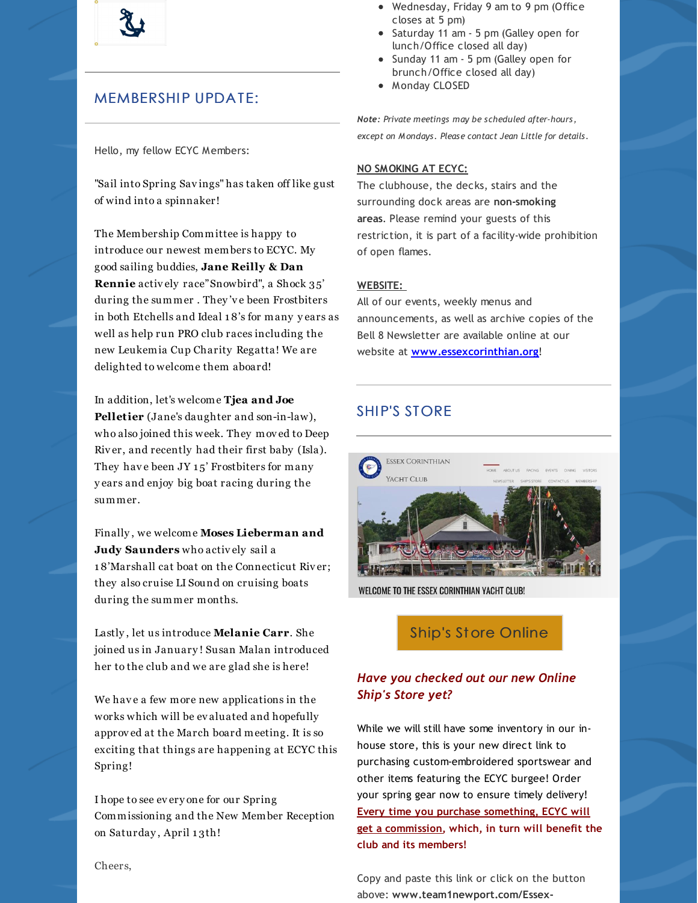

# **MEMBERSHIP UPDATE:**

Hello, my fellow ECYC Members:

"Sail into Spring Sav ings" has taken off like gust of wind into a spinnaker!

The Membership Committee is happy to introduce our newest members to ECYC. My good sailing buddies, **Jane Reilly & Dan Rennie** activ ely race"Snowbird", a Shock 35' during the summer . They 'v e been Frostbiters in both Etchells and Ideal 1 8's for many y ears as well as help run PRO club races including the new Leukemia Cup Charity Regatta! We are delighted to welcome them aboard!

In addition, let's welcome **Tjea and Joe Pelletier** (Jane's daughter and son-in-law), who also joined this week. They mov ed to Deep Riv er, and recently had their first baby (Isla). They have been JY 15' Frostbiters for many y ears and enjoy big boat racing during the summer.

Finally , we welcome **Moses Lieberman and Judy Saunders** who activ ely sail a 1 8'Marshall cat boat on the Connecticut Riv er; they also cruise LI Sound on cruising boats during the summer months.

Lastly , let us introduce **Melanie Carr**. She joined us in January ! Susan Malan introduced her to the club and we are glad she is here!

We have a few more new applications in the works which will be ev aluated and hopefully approv ed at the March board meeting. It is so exciting that things are happening at ECYC this Spring!

I hope to see ev ery one for our Spring Commissioning and the New Member Reception on Saturday, April 13th!

- Wednesday, Friday 9 am to 9 pm (Office closes at 5 pm)
- Saturday 11 am 5 pm (Galley open for lunch/Office closed all day)
- Sunday 11 am 5 pm (Galley open for brunch/Office closed all day)
- Monday CLOSED

*Note: Private meetings may be scheduled after-hours, except on Mondays. Please contact Jean Little for details.*

#### **NO SMOKING AT ECYC:**

The clubhouse, the decks, stairs and the surrounding dock areas are **non-smoking areas**. Please remind your guests of this restriction, it is part of a facility-wide prohibition of open flames.

#### **WEBSITE:**

All of our events, weekly menus and announcements, as well as archive copies of the Bell 8 Newsletter are available online at our website at **[www.essexcorinthian.org](https://www.essexcorinthian.org)**!

# SHIP'S STORE



WELCOME TO THE ESSEX CORINTHIAN YACHT CLUB!

# Ship's St ore [Online](http://www.team1newport.com/Essex-Corinthian-Yacht-Club/departments/1032/)

#### *Have you checked out our new Online Ship's Store yet?*

While we will still have some inventory in our inhouse store, this is your new direct link to purchasing custom-embroidered sportswear and other items featuring the ECYC burgee! Order your spring gear now to ensure timely delivery! **Every time you purchase something, ECYC will get a commission, which, in turn will benefit the club and its members!**

Copy and paste this link or click on the button above: **www.team1newport.com/Essex-**

Cheers,